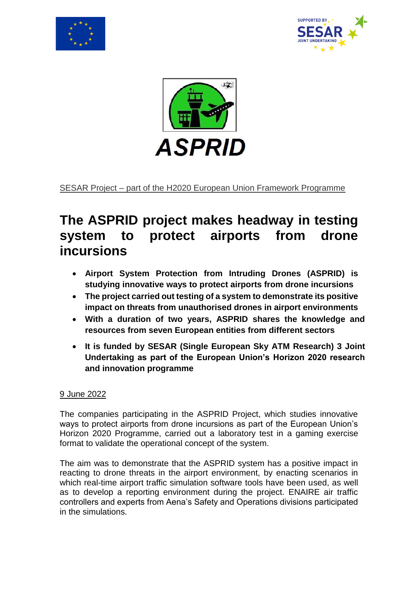





SESAR Project – part of the H2020 European Union Framework Programme

## **The ASPRID project makes headway in testing system to protect airports from drone incursions**

- **Airport System Protection from Intruding Drones (ASPRID) is studying innovative ways to protect airports from drone incursions**
- **The project carried out testing of a system to demonstrate its positive impact on threats from unauthorised drones in airport environments**
- **With a duration of two years, ASPRID shares the knowledge and resources from seven European entities from different sectors**
- **It is funded by SESAR (Single European Sky ATM Research) 3 Joint Undertaking as part of the European Union's Horizon 2020 research and innovation programme**

## 9 June 2022

The companies participating in the ASPRID Project, which studies innovative ways to protect airports from drone incursions as part of the European Union's Horizon 2020 Programme, carried out a laboratory test in a gaming exercise format to validate the operational concept of the system.

The aim was to demonstrate that the ASPRID system has a positive impact in reacting to drone threats in the airport environment, by enacting scenarios in which real-time airport traffic simulation software tools have been used, as well as to develop a reporting environment during the project. ENAIRE air traffic controllers and experts from Aena's Safety and Operations divisions participated in the simulations.